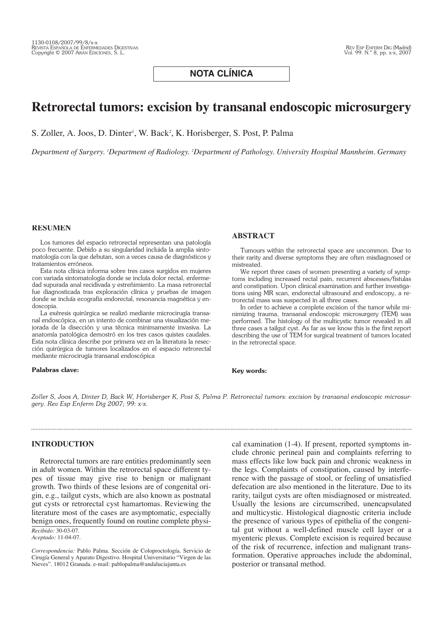## **NOTA CLÍNICA**

# **Retrorectal tumors: excision by transanal endoscopic microsurgery**

S. Zoller, A. Joos, D. Dinter<sup>1</sup>, W. Back<sup>2</sup>, K. Horisberger, S. Post, P. Palma

*Department of Surgery. 1 Department of Radiology. 2 Department of Pathology. University Hospital Mannheim. Germany*

#### **RESUMEN**

Los tumores del espacio retrorectal representan una patología poco frecuente. Debido a su singularidad incluida la amplia sintomatología con la que debutan, son a veces causa de diagnósticos y tratamientos erróneos.

Esta nota clínica informa sobre tres casos surgidos en mujeres con variada sintomatología donde se incluía dolor rectal, enfermedad supurada anal recidivada y estreñimiento. La masa retrorectal fue diagnosticada tras exploración clínica y pruebas de imagen donde se incluía ecografía endorectal, resonancia magnética y endoscopia.

La exéresis quirúrgica se realizó mediante microcirugía transanal endoscópica, en un intento de combinar una visualización mejorada de la disección y una técnica minimamente invasiva. La anatomía patológica demostró en los tres casos quistes caudales. Esta nota clínica describe por primera vez en la literatura la resección quirúrgica de tumores localizados en el espacio retrorectal mediante microcirugía transanal endoscópica

#### **Palabras clave:**

#### **ABSTRACT**

Tumours within the retrorectal space are uncommon. Due to their rarity and diverse symptoms they are often misdiagnosed or mistreated.

We report three cases of women presenting a variety of symptoms including increased rectal pain, recurrent abscesses/fistulas and constipation. Upon clinical examination and further investigations using MR scan, endorectal ultrasound and endoscopy, a retrorectal mass was suspected in all three cases.

In order to achieve a complete excision of the tumor while minimizing trauma, transanal endoscopic microsurgery (TEM) was performed. The histology of the multicystic tumor revealed in all three cases a tailgut cyst. As far as we know this is the first report describing the use of TEM for surgical treatment of tumors located in the retrorectal space.

#### **Key words:**

*Zoller S, Joos A, Dinter D, Back W, Horisberger K, Post S, Palma P. Retrorectal tumors: excision by transanal endoscopic microsurgery. Rev Esp Enferm Dig 2007; 99: x-x.*

#### **INTRODUCTION**

Retrorectal tumors are rare entities predominantly seen in adult women. Within the retrorectal space different types of tissue may give rise to benign or malignant growth. Two thirds of these lesions are of congenital origin, e.g., tailgut cysts, which are also known as postnatal gut cysts or retrorectal cyst hamartomas. Reviewing the literature most of the cases are asymptomatic, especially benign ones, frequently found on routine complete physi-

*Recibido:* 30-03-07. *Aceptado:* 11-04-07. cal examination (1-4). If present, reported symptoms include chronic perineal pain and complaints referring to mass effects like low back pain and chronic weakness in the legs. Complaints of constipation, caused by interference with the passage of stool, or feeling of unsatisfied defecation are also mentioned in the literature. Due to its rarity, tailgut cysts are often misdiagnosed or mistreated. Usually the lesions are circumscribed, unencapsulated and multicystic. Histological diagnostic criteria include the presence of various types of epithelia of the congenital gut without a well-defined muscle cell layer or a myenteric plexus. Complete excision is required because of the risk of recurrence, infection and malignant transformation. Operative approaches include the abdominal, posterior or transanal method.

*Correspondencia:* Pablo Palma. Sección de Coloproctología. Servicio de Cirugía General y Aparato Digestivo. Hospital Universitario "Virgen de las Nieves". 18012 Granada. e-mail: pablopalma@andaluciajunta.es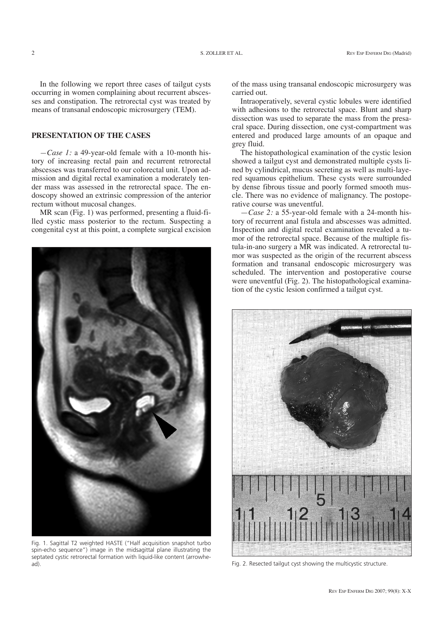In the following we report three cases of tailgut cysts occurring in women complaining about recurrent abscesses and constipation. The retrorectal cyst was treated by means of transanal endoscopic microsurgery (TEM).

## **PRESENTATION OF THE CASES**

*—Case 1:* a 49-year-old female with a 10-month history of increasing rectal pain and recurrent retrorectal abscesses was transferred to our colorectal unit. Upon admission and digital rectal examination a moderately tender mass was assessed in the retrorectal space. The endoscopy showed an extrinsic compression of the anterior rectum without mucosal changes.

MR scan (Fig. 1) was performed, presenting a fluid-filled cystic mass posterior to the rectum. Suspecting a congenital cyst at this point, a complete surgical excision



Fig. 1. Sagittal T2 weighted HASTE ("Half acquisition snapshot turbo spin-echo sequence") image in the midsagittal plane illustrating the septated cystic retrorectal formation with liquid-like content (arrowhead). Fig. 2. Resected tailgut cyst showing the multicystic structure.

of the mass using transanal endoscopic microsurgery was carried out.

Intraoperatively, several cystic lobules were identified with adhesions to the retrorectal space. Blunt and sharp dissection was used to separate the mass from the presacral space. During dissection, one cyst-compartment was entered and produced large amounts of an opaque and grey fluid.

The histopathological examination of the cystic lesion showed a tailgut cyst and demonstrated multiple cysts lined by cylindrical, mucus secreting as well as multi-layered squamous epithelium. These cysts were surrounded by dense fibrous tissue and poorly formed smooth muscle. There was no evidence of malignancy. The postoperative course was uneventful.

—*Case 2:* a 55-year-old female with a 24-month history of recurrent anal fistula and abscesses was admitted. Inspection and digital rectal examination revealed a tumor of the retrorectal space. Because of the multiple fistula-in-ano surgery a MR was indicated. A retrorectal tumor was suspected as the origin of the recurrent abscess formation and transanal endoscopic microsurgery was scheduled. The intervention and postoperative course were uneventful (Fig. 2). The histopathological examination of the cystic lesion confirmed a tailgut cyst.

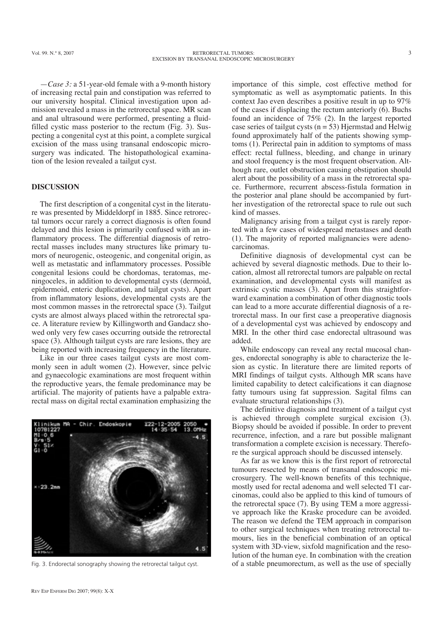—*Case 3:* a 51-year-old female with a 9-month history of increasing rectal pain and constipation was referred to our university hospital. Clinical investigation upon admission revealed a mass in the retrorectal space. MR scan and anal ultrasound were performed, presenting a fluidfilled cystic mass posterior to the rectum (Fig. 3). Suspecting a congenital cyst at this point, a complete surgical excision of the mass using transanal endoscopic microsurgery was indicated. The histopathological examination of the lesion revealed a tailgut cyst.

#### **DISCUSSION**

The first description of a congenital cyst in the literature was presented by Middeldorpf in 1885. Since retrorectal tumors occur rarely a correct diagnosis is often found delayed and this lesion is primarily confused with an inflammatory process. The differential diagnosis of retrorectal masses includes many structures like primary tumors of neurogenic, osteogenic, and congenital origin, as well as metastatic and inflammatory processes. Possible congenital lesions could be chordomas, teratomas, meningoceles, in addition to developmental cysts (dermoid, epidermoid, enteric duplication, and tailgut cysts). Apart from inflammatory lesions, developmental cysts are the most common masses in the retrorectal space (3). Tailgut cysts are almost always placed within the retrorectal space. A literature review by Killingworth and Gandacz showed only very few cases occurring outside the retrorectal space (3). Although tailgut cysts are rare lesions, they are being reported with increasing frequency in the literature.

Like in our three cases tailgut cysts are most commonly seen in adult women (2). However, since pelvic and gynaecologic examinations are most frequent within the reproductive years, the female predominance may be artificial. The majority of patients have a palpable extrarectal mass on digital rectal examination emphasizing the



importance of this simple, cost effective method for symptomatic as well as asymptomatic patients. In this context Jao even describes a positive result in up to 97% of the cases if displacing the rectum anteriorly (6). Buchs found an incidence of 75% (2). In the largest reported case series of tailgut cysts ( $n = 53$ ) Hjermstad and Helwig found approximately half of the patients showing symptoms (1). Perirectal pain in addition to symptoms of mass effect: rectal fullness, bleeding, and change in urinary and stool frequency is the most frequent observation. Although rare, outlet obstruction causing obstipation should alert about the possibility of a mass in the retrorectal space. Furthermore, recurrent abscess-fistula formation in the posterior anal plane should be accompanied by further investigation of the retrorectal space to rule out such kind of masses.

Malignancy arising from a tailgut cyst is rarely reported with a few cases of widespread metastases and death (1). The majority of reported malignancies were adenocarcinomas.

Definitive diagnosis of developmental cyst can be achieved by several diagnostic methods. Due to their location, almost all retrorectal tumors are palpable on rectal examination, and developmental cysts will manifest as extrinsic cystic masses (3). Apart from this straightforward examination a combination of other diagnostic tools can lead to a more accurate differential diagnosis of a retrorectal mass. In our first case a preoperative diagnosis of a developmental cyst was achieved by endoscopy and MRI. In the other third case endorectal ultrasound was added.

While endoscopy can reveal any rectal mucosal changes, endorectal sonography is able to characterize the lesion as cystic. In literature there are limited reports of MRI findings of tailgut cysts. Although MR scans have limited capability to detect calcifications it can diagnose fatty tumours using fat suppression. Sagital films can evaluate structural relationships (3).

The definitive diagnosis and treatment of a tailgut cyst is achieved through complete surgical excision (3). Biopsy should be avoided if possible. In order to prevent recurrence, infection, and a rare but possible malignant transformation a complete excision is necessary. Therefore the surgical approach should be discussed intensely.

As far as we know this is the first report of retrorectal tumours resected by means of transanal endoscopic microsurgery. The well-known benefits of this technique, mostly used for rectal adenoma and well selected T1 carcinomas, could also be applied to this kind of tumours of the retrorectal space (7). By using TEM a more aggressive approach like the Kraske procedure can be avoided. The reason we defend the TEM approach in comparison to other surgical techniques when treating retrorectal tumours, lies in the beneficial combination of an optical system with 3D-view, sixfold magnification and the resolution of the human eye. In combination with the creation Fig. 3. Endorectal sonography showing the retrorectal tailgut cyst. of a stable pneumorectum, as well as the use of specially